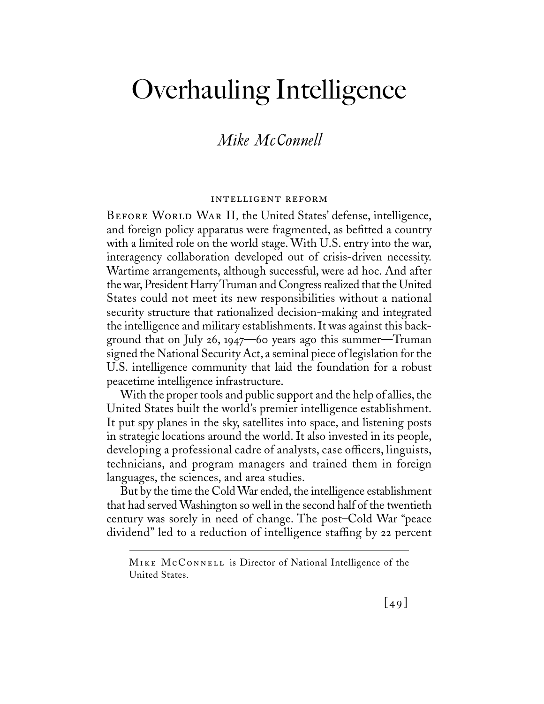# *Mike McConnell*

#### intelligent reform

Before World War II, the United States' defense, intelligence, and foreign policy apparatus were fragmented, as befitted a country with a limited role on the world stage. With U.S. entry into the war, interagency collaboration developed out of crisis-driven necessity. Wartime arrangements, although successful, were ad hoc. And after the war, President Harry Truman and Congress realized that the United States could not meet its new responsibilities without a national security structure that rationalized decision-making and integrated the intelligence and military establishments. It was against this background that on July 26, 1947—60 years ago this summer—Truman signed the National Security Act, a seminal piece of legislation for the U.S. intelligence community that laid the foundation for a robust peacetime intelligence infrastructure.

With the proper tools and public support and the help of allies, the United States built the world's premier intelligence establishment. It put spy planes in the sky, satellites into space, and listening posts in strategic locations around the world. It also invested in its people, developing a professional cadre of analysts, case officers, linguists, technicians, and program managers and trained them in foreign languages, the sciences, and area studies.

But by the time the Cold War ended, the intelligence establishment that had served Washington so well in the second half of the twentieth century was sorely in need of change. The post–Cold War "peace dividend" led to a reduction of intelligence staffing by 22 percent

Mike McConnell is Director of National Intelligence of the United States.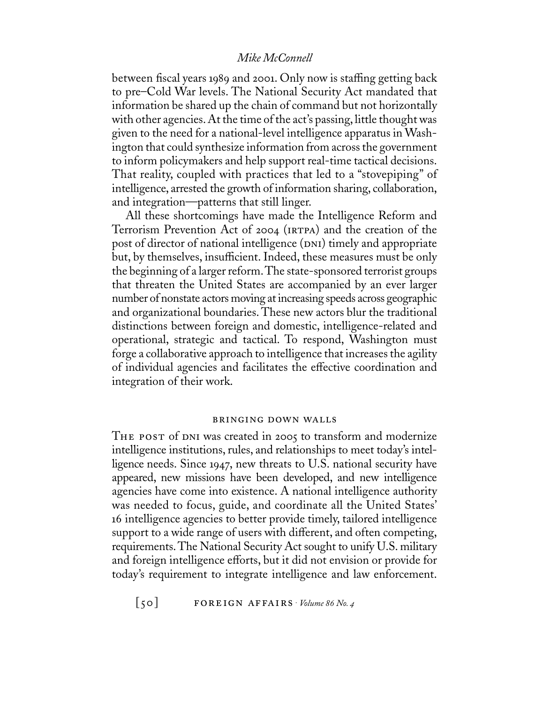between fiscal years 1989 and 2001. Only now is staffing getting back to pre–Cold War levels. The National Security Act mandated that information be shared up the chain of command but not horizontally with other agencies. At the time of the act's passing, little thought was given to the need for a national-level intelligence apparatus in Washington that could synthesize information from across the government to inform policymakers and help support real-time tactical decisions. That reality, coupled with practices that led to a "stovepiping" of intelligence, arrested the growth of information sharing, collaboration, and integration—patterns that still linger.

All these shortcomings have made the Intelligence Reform and Terrorism Prevention Act of 2004 (irtpa) and the creation of the post of director of national intelligence (DNI) timely and appropriate but, by themselves, insufficient. Indeed, these measures must be only the beginning of a larger reform.The state-sponsored terrorist groups that threaten the United States are accompanied by an ever larger number of nonstate actors moving at increasing speeds across geographic and organizational boundaries. These new actors blur the traditional distinctions between foreign and domestic, intelligence-related and operational, strategic and tactical. To respond, Washington must forge a collaborative approach to intelligence that increases the agility of individual agencies and facilitates the effective coordination and integration of their work.

# bringing down walls

THE POST of DNI was created in 2005 to transform and modernize intelligence institutions, rules, and relationships to meet today's intelligence needs. Since 1947, new threats to U.S. national security have appeared, new missions have been developed, and new intelligence agencies have come into existence. A national intelligence authority was needed to focus, guide, and coordinate all the United States' 16 intelligence agencies to better provide timely, tailored intelligence support to a wide range of users with different, and often competing, requirements.The National Security Act sought to unify U.S. military and foreign intelligence efforts, but it did not envision or provide for today's requirement to integrate intelligence and law enforcement.

[50] foreign affairs . *Volume <sup>86</sup> No. 4*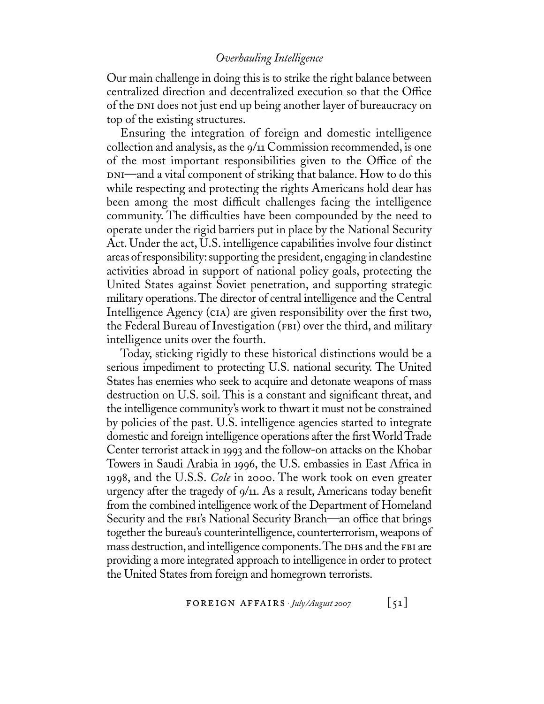Our main challenge in doing this is to strike the right balance between centralized direction and decentralized execution so that the Office of the DNI does not just end up being another layer of bureaucracy on top of the existing structures.

Ensuring the integration of foreign and domestic intelligence collection and analysis, as the 9/11 Commission recommended, is one of the most important responsibilities given to the Office of the DNI—and a vital component of striking that balance. How to do this while respecting and protecting the rights Americans hold dear has been among the most difficult challenges facing the intelligence community. The difficulties have been compounded by the need to operate under the rigid barriers put in place by the National Security Act. Under the act, U.S. intelligence capabilities involve four distinct areas of responsibility: supporting the president, engaging in clandestine activities abroad in support of national policy goals, protecting the United States against Soviet penetration, and supporting strategic military operations.The director of central intelligence and the Central Intelligence Agency (cia) are given responsibility over the first two, the Federal Bureau of Investigation (FBI) over the third, and military intelligence units over the fourth.

Today, sticking rigidly to these historical distinctions would be a serious impediment to protecting U.S. national security. The United States has enemies who seek to acquire and detonate weapons of mass destruction on U.S. soil. This is a constant and significant threat, and the intelligence community's work to thwart it must not be constrained by policies of the past. U.S. intelligence agencies started to integrate domestic and foreign intelligence operations after the first World Trade Center terrorist attack in 1993 and the follow-on attacks on the Khobar Towers in Saudi Arabia in 1996, the U.S. embassies in East Africa in 1998, and the U.S.S. *Cole* in 2000. The work took on even greater urgency after the tragedy of 9/11. As a result, Americans today benefit from the combined intelligence work of the Department of Homeland Security and the FBI's National Security Branch—an office that brings together the bureau's counterintelligence, counterterrorism, weapons of mass destruction, and intelligence components. The DHS and the FBI are providing a more integrated approach to intelligence in order to protect the United States from foreign and homegrown terrorists.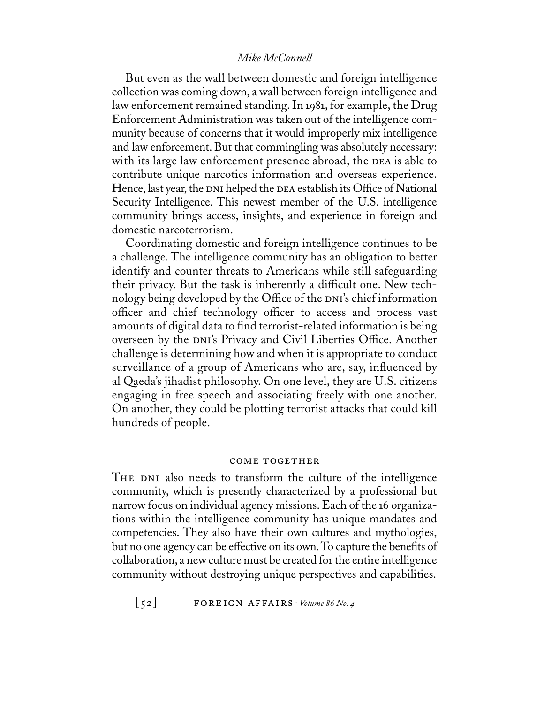But even as the wall between domestic and foreign intelligence collection was coming down, a wall between foreign intelligence and law enforcement remained standing. In 1981, for example, the Drug Enforcement Administration was taken out of the intelligence community because of concerns that it would improperly mix intelligence and law enforcement. But that commingling was absolutely necessary: with its large law enforcement presence abroad, the DEA is able to contribute unique narcotics information and overseas experience. Hence, last year, the  $D_{\text{NI}}$  helped the  $D_{\text{EA}}$  establish its Office of National Security Intelligence. This newest member of the U.S. intelligence community brings access, insights, and experience in foreign and domestic narcoterrorism.

Coordinating domestic and foreign intelligence continues to be a challenge. The intelligence community has an obligation to better identify and counter threats to Americans while still safeguarding their privacy. But the task is inherently a difficult one. New technology being developed by the Office of the DNI's chief information officer and chief technology officer to access and process vast amounts of digital data to find terrorist-related information is being overseen by the DNI's Privacy and Civil Liberties Office. Another challenge is determining how and when it is appropriate to conduct surveillance of a group of Americans who are, say, influenced by al Qaeda's jihadist philosophy. On one level, they are U.S. citizens engaging in free speech and associating freely with one another. On another, they could be plotting terrorist attacks that could kill hundreds of people.

#### come together

THE DNI also needs to transform the culture of the intelligence community, which is presently characterized by a professional but narrow focus on individual agency missions. Each of the 16 organizations within the intelligence community has unique mandates and competencies. They also have their own cultures and mythologies, but no one agency can be effective on its own. To capture the benefits of collaboration, a new culture must be created for the entire intelligence community without destroying unique perspectives and capabilities.

 $\begin{bmatrix} 52 \end{bmatrix}$  **FOREIGN AFFAIRS**  $\cdot$  *Volume 86 No. 4*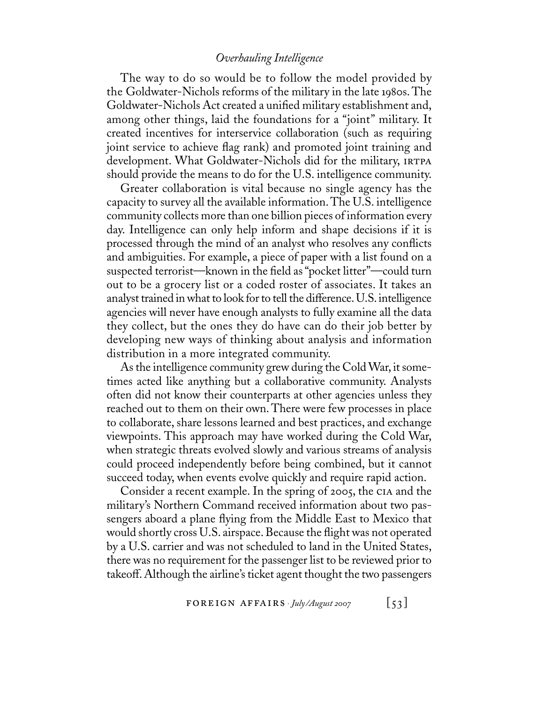The way to do so would be to follow the model provided by the Goldwater-Nichols reforms of the military in the late 1980s. The Goldwater-Nichols Act created a unified military establishment and, among other things, laid the foundations for a "joint" military. It created incentives for interservice collaboration (such as requiring joint service to achieve flag rank) and promoted joint training and development. What Goldwater-Nichols did for the military, IRTPA should provide the means to do for the U.S. intelligence community.

Greater collaboration is vital because no single agency has the capacity to survey all the available information. The U.S. intelligence community collects more than one billion pieces of information every day. Intelligence can only help inform and shape decisions if it is processed through the mind of an analyst who resolves any conflicts and ambiguities. For example, a piece of paper with a list found on a suspected terrorist—known in the field as "pocket litter"—could turn out to be a grocery list or a coded roster of associates. It takes an analyst trained in what to look for to tell the difference. U.S. intelligence agencies will never have enough analysts to fully examine all the data they collect, but the ones they do have can do their job better by developing new ways of thinking about analysis and information distribution in a more integrated community.

As the intelligence community grew during the Cold War, it sometimes acted like anything but a collaborative community. Analysts often did not know their counterparts at other agencies unless they reached out to them on their own. There were few processes in place to collaborate, share lessons learned and best practices, and exchange viewpoints. This approach may have worked during the Cold War, when strategic threats evolved slowly and various streams of analysis could proceed independently before being combined, but it cannot succeed today, when events evolve quickly and require rapid action.

Consider a recent example. In the spring of 2005, the cia and the military's Northern Command received information about two passengers aboard a plane flying from the Middle East to Mexico that would shortly cross U.S. airspace. Because the flight was not operated by a U.S. carrier and was not scheduled to land in the United States, there was no requirement for the passenger list to be reviewed prior to takeoff. Although the airline's ticket agent thought the two passengers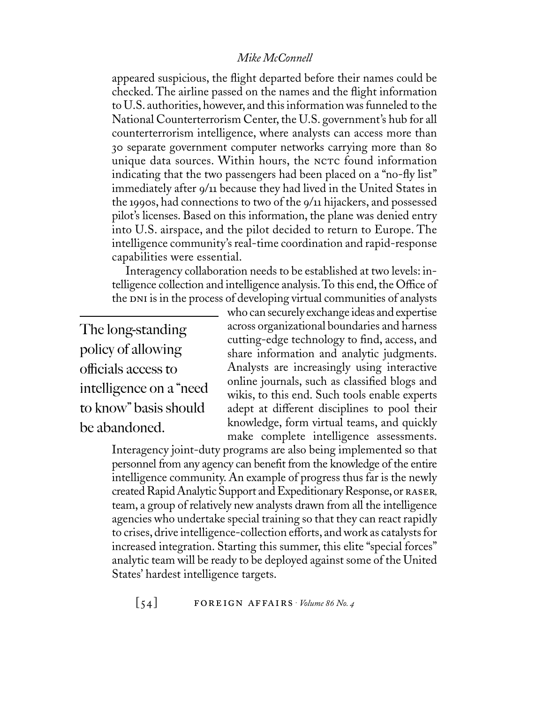appeared suspicious, the flight departed before their names could be checked. The airline passed on the names and the flight information to U.S. authorities, however, and this information was funneled to the National Counterterrorism Center, the U.S. government's hub for all counterterrorism intelligence, where analysts can access more than 30 separate government computer networks carrying more than 80 unique data sources. Within hours, the NCTC found information indicating that the two passengers had been placed on a "no-fly list" immediately after 9/11 because they had lived in the United States in the 1990s, had connections to two of the 9/11 hijackers, and possessed pilot's licenses. Based on this information, the plane was denied entry into U.S. airspace, and the pilot decided to return to Europe. The intelligence community's real-time coordination and rapid-response capabilities were essential.

Interagency collaboration needs to be established at two levels: intelligence collection and intelligence analysis. To this end, the Office of the DNI is in the process of developing virtual communities of analysts

The long-standing policy of allowing officials access to intelligence on a "need to know" basis should be abandoned.

who can securely exchange ideas and expertise across organizational boundaries and harness cutting-edge technology to find, access, and share information and analytic judgments. Analysts are increasingly using interactive online journals, such as classified blogs and wikis, to this end. Such tools enable experts adept at different disciplines to pool their knowledge, form virtual teams, and quickly make complete intelligence assessments.

Interagency joint-duty programs are also being implemented so that personnel from any agency can benefit from the knowledge of the entire intelligence community. An example of progress thus far is the newly created Rapid Analytic Support and Expeditionary Response,or raser, team, a group of relatively new analysts drawn from all the intelligence agencies who undertake special training so that they can react rapidly to crises, drive intelligence-collection efforts, and work as catalysts for increased integration. Starting this summer, this elite "special forces" analytic team will be ready to be deployed against some of the United States' hardest intelligence targets.

 $[54]$  **FOREIGN AFFAIRS**  $\cdot$  *Volume 86 No. 4*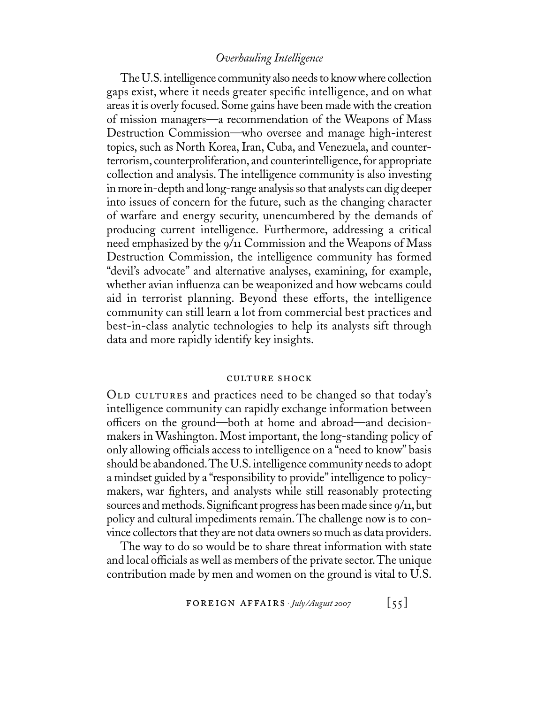The U.S.intelligence community also needs to know where collection gaps exist, where it needs greater specific intelligence, and on what areas it is overly focused. Some gains have been made with the creation of mission managers—a recommendation of the Weapons of Mass Destruction Commission—who oversee and manage high-interest topics, such as North Korea, Iran, Cuba, and Venezuela, and counterterrorism, counterproliferation, and counterintelligence, for appropriate collection and analysis. The intelligence community is also investing in more in-depth and long-range analysis so that analysts can dig deeper into issues of concern for the future, such as the changing character of warfare and energy security, unencumbered by the demands of producing current intelligence. Furthermore, addressing a critical need emphasized by the 9/11 Commission and the Weapons of Mass Destruction Commission, the intelligence community has formed "devil's advocate" and alternative analyses, examining, for example, whether avian influenza can be weaponized and how webcams could aid in terrorist planning. Beyond these efforts, the intelligence community can still learn a lot from commercial best practices and best-in-class analytic technologies to help its analysts sift through data and more rapidly identify key insights.

#### culture shock

OLD CULTURES and practices need to be changed so that today's intelligence community can rapidly exchange information between officers on the ground—both at home and abroad—and decisionmakers in Washington. Most important, the long-standing policy of only allowing officials access to intelligence on a "need to know" basis should be abandoned.The U.S. intelligence community needs to adopt a mindset guided by a "responsibility to provide" intelligence to policymakers, war fighters, and analysts while still reasonably protecting sources and methods. Significant progress has been made since 9/11, but policy and cultural impediments remain. The challenge now is to convince collectors that they are not data owners so much as data providers.

The way to do so would be to share threat information with state and local officials as well as members of the private sector. The unique contribution made by men and women on the ground is vital to U.S.

FOREIGN AFFAIRS  $\cdot$  *July/August 2007* [55]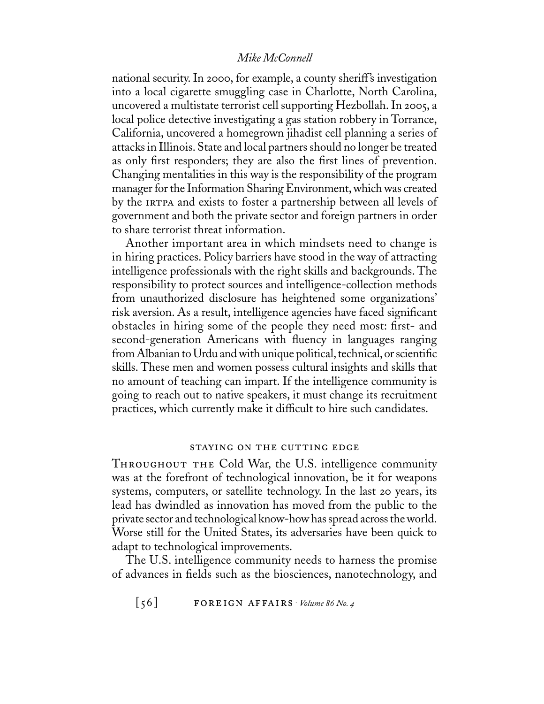national security. In 2000, for example, a county sheriff's investigation into a local cigarette smuggling case in Charlotte, North Carolina, uncovered a multistate terrorist cell supporting Hezbollah. In 2005, a local police detective investigating a gas station robbery in Torrance, California, uncovered a homegrown jihadist cell planning a series of attacks in Illinois. State and local partners should no longer be treated as only first responders; they are also the first lines of prevention. Changing mentalities in this way is the responsibility of the program manager for the Information Sharing Environment, which was created by the IRTPA and exists to foster a partnership between all levels of government and both the private sector and foreign partners in order to share terrorist threat information.

Another important area in which mindsets need to change is in hiring practices. Policy barriers have stood in the way of attracting intelligence professionals with the right skills and backgrounds. The responsibility to protect sources and intelligence-collection methods from unauthorized disclosure has heightened some organizations' risk aversion. As a result, intelligence agencies have faced significant obstacles in hiring some of the people they need most: first- and second-generation Americans with fluency in languages ranging from Albanian to Urdu and with unique political, technical, or scientific skills. These men and women possess cultural insights and skills that no amount of teaching can impart. If the intelligence community is going to reach out to native speakers, it must change its recruitment practices, which currently make it difficult to hire such candidates.

#### staying on the cutting edge

THROUGHOUT THE Cold War, the U.S. intelligence community was at the forefront of technological innovation, be it for weapons systems, computers, or satellite technology. In the last 20 years, its lead has dwindled as innovation has moved from the public to the private sector and technological know-how has spread across the world. Worse still for the United States, its adversaries have been quick to adapt to technological improvements.

The U.S. intelligence community needs to harness the promise of advances in fields such as the biosciences, nanotechnology, and

 $\begin{bmatrix} 56 \end{bmatrix}$  **FOREIGN AFFAIRS**  $\cdot$  *Volume 86 No. 4*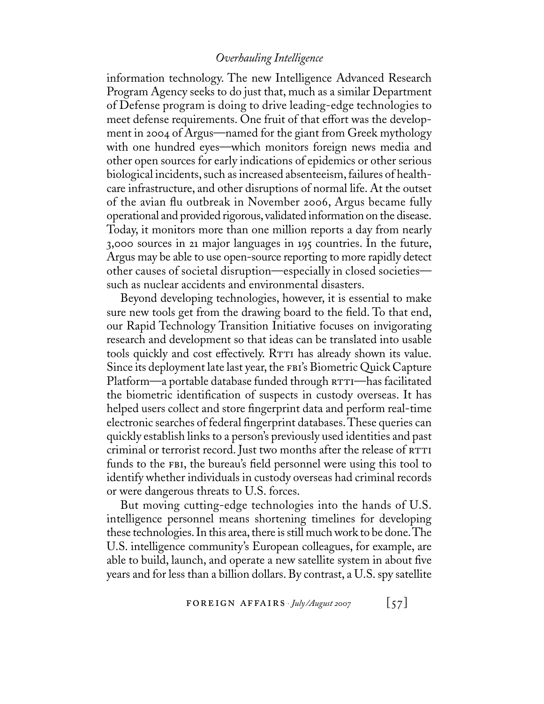information technology. The new Intelligence Advanced Research Program Agency seeks to do just that, much as a similar Department of Defense program is doing to drive leading-edge technologies to meet defense requirements. One fruit of that effort was the development in 2004 of Argus—named for the giant from Greek mythology with one hundred eyes—which monitors foreign news media and other open sources for early indications of epidemics or other serious biological incidents, such as increased absenteeism, failures of healthcare infrastructure, and other disruptions of normal life. At the outset of the avian flu outbreak in November 2006, Argus became fully operational and provided rigorous,validated information on the disease. Today, it monitors more than one million reports a day from nearly 3,000 sources in 21 major languages in 195 countries. In the future, Argus may be able to use open-source reporting to more rapidly detect other causes of societal disruption—especially in closed societies such as nuclear accidents and environmental disasters.

Beyond developing technologies, however, it is essential to make sure new tools get from the drawing board to the field. To that end, our Rapid Technology Transition Initiative focuses on invigorating research and development so that ideas can be translated into usable tools quickly and cost effectively. RTTI has already shown its value. Since its deployment late last year, the FBI's Biometric Quick Capture Platform—a portable database funded through  $r$ rti—has facilitated the biometric identification of suspects in custody overseas. It has helped users collect and store fingerprint data and perform real-time electronic searches of federal fingerprint databases.These queries can quickly establish links to a person's previously used identities and past criminal or terrorist record. Just two months after the release of RTTI funds to the FBI, the bureau's field personnel were using this tool to identify whether individuals in custody overseas had criminal records or were dangerous threats to U.S. forces.

But moving cutting-edge technologies into the hands of U.S. intelligence personnel means shortening timelines for developing these technologies. In this area, there is still much work to be done.The U.S. intelligence community's European colleagues, for example, are able to build, launch, and operate a new satellite system in about five years and for less than a billion dollars. By contrast, a U.S. spy satellite